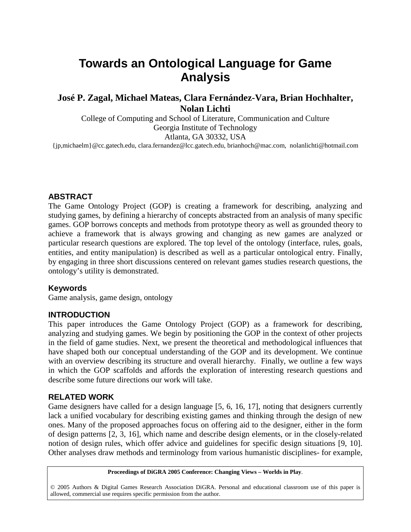# **Towards an Ontological Language for Game Analysis**

# **José P. Zagal, Michael Mateas, Clara Fernández-Vara, Brian Hochhalter, Nolan Lichti**

College of Computing and School of Literature, Communication and Culture Georgia Institute of Technology Atlanta, GA 30332, USA

{jp,michaelm}@cc.gatech.edu, clara.fernandez@lcc.gatech.edu, brianhoch@mac.com, nolanlichti@hotmail.com

## **ABSTRACT**

The Game Ontology Project (GOP) is creating a framework for describing, analyzing and studying games, by defining a hierarchy of concepts abstracted from an analysis of many specific games. GOP borrows concepts and methods from prototype theory as well as grounded theory to achieve a framework that is always growing and changing as new games are analyzed or particular research questions are explored. The top level of the ontology (interface, rules, goals, entities, and entity manipulation) is described as well as a particular ontological entry. Finally, by engaging in three short discussions centered on relevant games studies research questions, the ontology's utility is demonstrated.

## **Keywords**

Game analysis, game design, ontology

## **INTRODUCTION**

This paper introduces the Game Ontology Project (GOP) as a framework for describing, analyzing and studying games. We begin by positioning the GOP in the context of other projects in the field of game studies. Next, we present the theoretical and methodological influences that have shaped both our conceptual understanding of the GOP and its development. We continue with an overview describing its structure and overall hierarchy. Finally, we outline a few ways in which the GOP scaffolds and affords the exploration of interesting research questions and describe some future directions our work will take.

#### **RELATED WORK**

Game designers have called for a design language [5, 6, 16, 17], noting that designers currently lack a unified vocabulary for describing existing games and thinking through the design of new ones. Many of the proposed approaches focus on offering aid to the designer, either in the form of design patterns [2, 3, 16], which name and describe design elements, or in the closely-related notion of design rules, which offer advice and guidelines for specific design situations [9, 10]. Other analyses draw methods and terminology from various humanistic disciplines- for example,

**Proceedings of DiGRA 2005 Conference: Changing Views – Worlds in Play**.

© 2005 Authors & Digital Games Research Association DiGRA. Personal and educational classroom use of this paper is allowed, commercial use requires specific permission from the author.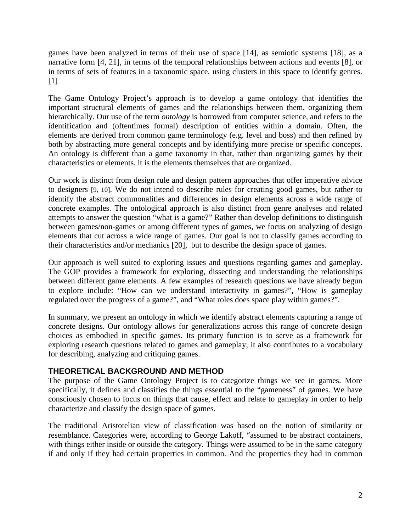games have been analyzed in terms of their use of space [14], as semiotic systems [18], as a narrative form [4, 21], in terms of the temporal relationships between actions and events [8], or in terms of sets of features in a taxonomic space, using clusters in this space to identify genres.  $[1]$ 

The Game Ontology Project's approach is to develop a game ontology that identifies the important structural elements of games and the relationships between them, organizing them hierarchically. Our use of the term *ontology* is borrowed from computer science, and refers to the identification and (oftentimes formal) description of entities within a domain. Often, the elements are derived from common game terminology (e.g. level and boss) and then refined by both by abstracting more general concepts and by identifying more precise or specific concepts. An ontology is different than a game taxonomy in that, rather than organizing games by their characteristics or elements, it is the elements themselves that are organized.

Our work is distinct from design rule and design pattern approaches that offer imperative advice to designers [9, 10]. We do not intend to describe rules for creating good games, but rather to identify the abstract commonalities and differences in design elements across a wide range of concrete examples. The ontological approach is also distinct from genre analyses and related attempts to answer the question "what is a game?" Rather than develop definitions to distinguish between games/non-games or among different types of games, we focus on analyzing of design elements that cut across a wide range of games. Our goal is not to classify games according to their characteristics and/or mechanics [20], but to describe the design space of games.

Our approach is well suited to exploring issues and questions regarding games and gameplay. The GOP provides a framework for exploring, dissecting and understanding the relationships between different game elements. A few examples of research questions we have already begun to explore include: "How can we understand interactivity in games?", "How is gameplay regulated over the progress of a game?", and "What roles does space play within games?".

In summary, we present an ontology in which we identify abstract elements capturing a range of concrete designs. Our ontology allows for generalizations across this range of concrete design choices as embodied in specific games. Its primary function is to serve as a framework for exploring research questions related to games and gameplay; it also contributes to a vocabulary for describing, analyzing and critiquing games.

# **THEORETICAL BACKGROUND AND METHOD**

The purpose of the Game Ontology Project is to categorize things we see in games. More specifically, it defines and classifies the things essential to the "gameness" of games. We have consciously chosen to focus on things that cause, effect and relate to gameplay in order to help characterize and classify the design space of games.

The traditional Aristotelian view of classification was based on the notion of similarity or resemblance. Categories were, according to George Lakoff, "assumed to be abstract containers, with things either inside or outside the category. Things were assumed to be in the same category if and only if they had certain properties in common. And the properties they had in common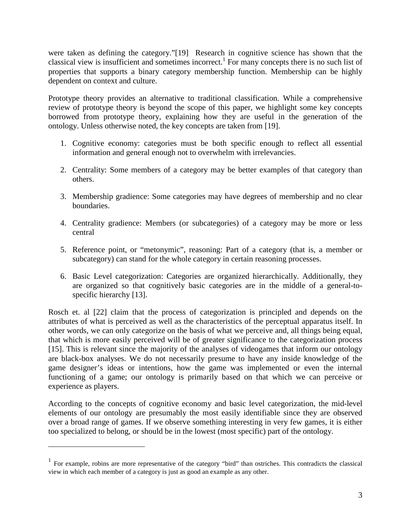were taken as defining the category."[19] Research in cognitive science has shown that the classical view is insufficient and sometimes incorrect.<sup>1</sup> For many concepts there is no such list of properties that supports a binary category membership function. Membership can be highly dependent on context and culture.

Prototype theory provides an alternative to traditional classification. While a comprehensive review of prototype theory is beyond the scope of this paper, we highlight some key concepts borrowed from prototype theory, explaining how they are useful in the generation of the ontology. Unless otherwise noted, the key concepts are taken from [19].

- 1. Cognitive economy: categories must be both specific enough to reflect all essential information and general enough not to overwhelm with irrelevancies.
- 2. Centrality: Some members of a category may be better examples of that category than others.
- 3. Membership gradience: Some categories may have degrees of membership and no clear boundaries.
- 4. Centrality gradience: Members (or subcategories) of a category may be more or less central
- 5. Reference point, or "metonymic", reasoning: Part of a category (that is, a member or subcategory) can stand for the whole category in certain reasoning processes.
- 6. Basic Level categorization: Categories are organized hierarchically. Additionally, they are organized so that cognitively basic categories are in the middle of a general-tospecific hierarchy [13].

Rosch et. al [22] claim that the process of categorization is principled and depends on the attributes of what is perceived as well as the characteristics of the perceptual apparatus itself. In other words, we can only categorize on the basis of what we perceive and, all things being equal, that which is more easily perceived will be of greater significance to the categorization process [15]. This is relevant since the majority of the analyses of videogames that inform our ontology are black-box analyses. We do not necessarily presume to have any inside knowledge of the game designer's ideas or intentions, how the game was implemented or even the internal functioning of a game; our ontology is primarily based on that which we can perceive or experience as players.

According to the concepts of cognitive economy and basic level categorization, the mid-level elements of our ontology are presumably the most easily identifiable since they are observed over a broad range of games. If we observe something interesting in very few games, it is either too specialized to belong, or should be in the lowest (most specific) part of the ontology.

 $\overline{a}$ 

<sup>&</sup>lt;sup>1</sup> For example, robins are more representative of the category "bird" than ostriches. This contradicts the classical view in which each member of a category is just as good an example as any other.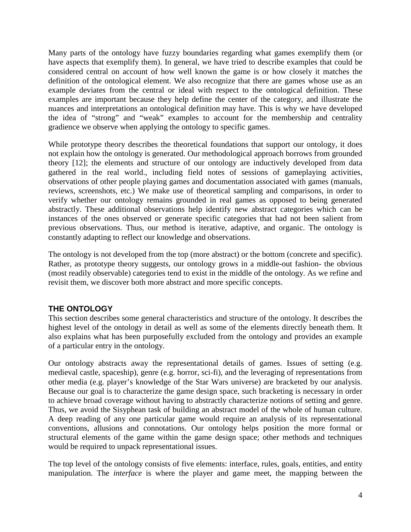Many parts of the ontology have fuzzy boundaries regarding what games exemplify them (or have aspects that exemplify them). In general, we have tried to describe examples that could be considered central on account of how well known the game is or how closely it matches the definition of the ontological element. We also recognize that there are games whose use as an example deviates from the central or ideal with respect to the ontological definition. These examples are important because they help define the center of the category, and illustrate the nuances and interpretations an ontological definition may have. This is why we have developed the idea of "strong" and "weak" examples to account for the membership and centrality gradience we observe when applying the ontology to specific games.

While prototype theory describes the theoretical foundations that support our ontology, it does not explain how the ontology is generated. Our methodological approach borrows from grounded theory [12]; the elements and structure of our ontology are inductively developed from data gathered in the real world., including field notes of sessions of gameplaying activities, observations of other people playing games and documentation associated with games (manuals, reviews, screenshots, etc.) We make use of theoretical sampling and comparisons, in order to verify whether our ontology remains grounded in real games as opposed to being generated abstractly. These additional observations help identify new abstract categories which can be instances of the ones observed or generate specific categories that had not been salient from previous observations. Thus, our method is iterative, adaptive, and organic. The ontology is constantly adapting to reflect our knowledge and observations.

The ontology is not developed from the top (more abstract) or the bottom (concrete and specific). Rather, as prototype theory suggests, our ontology grows in a middle-out fashion- the obvious (most readily observable) categories tend to exist in the middle of the ontology. As we refine and revisit them, we discover both more abstract and more specific concepts.

# **THE ONTOLOGY**

This section describes some general characteristics and structure of the ontology. It describes the highest level of the ontology in detail as well as some of the elements directly beneath them. It also explains what has been purposefully excluded from the ontology and provides an example of a particular entry in the ontology.

Our ontology abstracts away the representational details of games. Issues of setting (e.g. medieval castle, spaceship), genre (e.g. horror, sci-fi), and the leveraging of representations from other media (e.g. player's knowledge of the Star Wars universe) are bracketed by our analysis. Because our goal is to characterize the game design space, such bracketing is necessary in order to achieve broad coverage without having to abstractly characterize notions of setting and genre. Thus, we avoid the Sisyphean task of building an abstract model of the whole of human culture. A deep reading of any one particular game would require an analysis of its representational conventions, allusions and connotations. Our ontology helps position the more formal or structural elements of the game within the game design space; other methods and techniques would be required to unpack representational issues.

The top level of the ontology consists of five elements: interface, rules, goals, entities, and entity manipulation. The *interface* is where the player and game meet, the mapping between the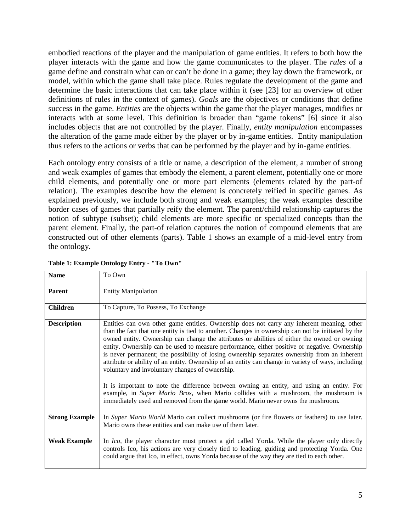embodied reactions of the player and the manipulation of game entities. It refers to both how the player interacts with the game and how the game communicates to the player. The *rules* of a game define and constrain what can or can't be done in a game; they lay down the framework, or model, within which the game shall take place. Rules regulate the development of the game and determine the basic interactions that can take place within it (see [23] for an overview of other definitions of rules in the context of games). *Goals* are the objectives or conditions that define success in the game. *Entities* are the objects within the game that the player manages, modifies or interacts with at some level. This definition is broader than "game tokens" [6] since it also includes objects that are not controlled by the player. Finally, *entity manipulation* encompasses the alteration of the game made either by the player or by in-game entities. Entity manipulation thus refers to the actions or verbs that can be performed by the player and by in-game entities.

Each ontology entry consists of a title or name, a description of the element, a number of strong and weak examples of games that embody the element, a parent element, potentially one or more child elements, and potentially one or more part elements (elements related by the part-of relation). The examples describe how the element is concretely reified in specific games. As explained previously, we include both strong and weak examples; the weak examples describe border cases of games that partially reify the element. The parent/child relationship captures the notion of subtype (subset); child elements are more specific or specialized concepts than the parent element. Finally, the part-of relation captures the notion of compound elements that are constructed out of other elements (parts). Table 1 shows an example of a mid-level entry from the ontology.

| <b>Name</b>           | To Own                                                                                                                                                                                                                                                                                                                                                                                                                                                                                                                                                                                                                                                                                                                                                                                                                                                                                                                           |
|-----------------------|----------------------------------------------------------------------------------------------------------------------------------------------------------------------------------------------------------------------------------------------------------------------------------------------------------------------------------------------------------------------------------------------------------------------------------------------------------------------------------------------------------------------------------------------------------------------------------------------------------------------------------------------------------------------------------------------------------------------------------------------------------------------------------------------------------------------------------------------------------------------------------------------------------------------------------|
| Parent                | <b>Entity Manipulation</b>                                                                                                                                                                                                                                                                                                                                                                                                                                                                                                                                                                                                                                                                                                                                                                                                                                                                                                       |
| <b>Children</b>       | To Capture, To Possess, To Exchange                                                                                                                                                                                                                                                                                                                                                                                                                                                                                                                                                                                                                                                                                                                                                                                                                                                                                              |
| <b>Description</b>    | Entities can own other game entities. Ownership does not carry any inherent meaning, other<br>than the fact that one entity is tied to another. Changes in ownership can not be initiated by the<br>owned entity. Ownership can change the attributes or abilities of either the owned or owning<br>entity. Ownership can be used to measure performance, either positive or negative. Ownership<br>is never permanent; the possibility of losing ownership separates ownership from an inherent<br>attribute or ability of an entity. Ownership of an entity can change in variety of ways, including<br>voluntary and involuntary changes of ownership.<br>It is important to note the difference between owning an entity, and using an entity. For<br>example, in Super Mario Bros, when Mario collides with a mushroom, the mushroom is<br>immediately used and removed from the game world. Mario never owns the mushroom. |
| <b>Strong Example</b> | In Super Mario World Mario can collect mushrooms (or fire flowers or feathers) to use later.<br>Mario owns these entities and can make use of them later.                                                                                                                                                                                                                                                                                                                                                                                                                                                                                                                                                                                                                                                                                                                                                                        |
| <b>Weak Example</b>   | In Ico, the player character must protect a girl called Yorda. While the player only directly<br>controls Ico, his actions are very closely tied to leading, guiding and protecting Yorda. One<br>could argue that Ico, in effect, owns Yorda because of the way they are tied to each other.                                                                                                                                                                                                                                                                                                                                                                                                                                                                                                                                                                                                                                    |

**Table 1: Example Ontology Entry - "To Own"**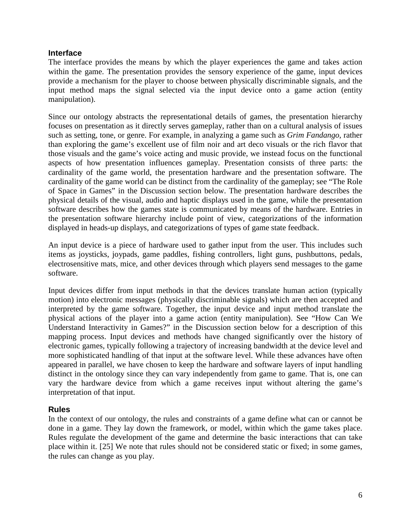#### **Interface**

The interface provides the means by which the player experiences the game and takes action within the game. The presentation provides the sensory experience of the game, input devices provide a mechanism for the player to choose between physically discriminable signals, and the input method maps the signal selected via the input device onto a game action (entity manipulation).

Since our ontology abstracts the representational details of games, the presentation hierarchy focuses on presentation as it directly serves gameplay, rather than on a cultural analysis of issues such as setting, tone, or genre. For example, in analyzing a game such as *Grim Fandango*, rather than exploring the game's excellent use of film noir and art deco visuals or the rich flavor that those visuals and the game's voice acting and music provide, we instead focus on the functional aspects of how presentation influences gameplay. Presentation consists of three parts: the cardinality of the game world, the presentation hardware and the presentation software. The cardinality of the game world can be distinct from the cardinality of the gameplay; see "The Role of Space in Games" in the Discussion section below. The presentation hardware describes the physical details of the visual, audio and haptic displays used in the game, while the presentation software describes how the games state is communicated by means of the hardware. Entries in the presentation software hierarchy include point of view, categorizations of the information displayed in heads-up displays, and categorizations of types of game state feedback.

An input device is a piece of hardware used to gather input from the user. This includes such items as joysticks, joypads, game paddles, fishing controllers, light guns, pushbuttons, pedals, electrosensitive mats, mice, and other devices through which players send messages to the game software.

Input devices differ from input methods in that the devices translate human action (typically motion) into electronic messages (physically discriminable signals) which are then accepted and interpreted by the game software. Together, the input device and input method translate the physical actions of the player into a game action (entity manipulation). See "How Can We Understand Interactivity in Games?" in the Discussion section below for a description of this mapping process. Input devices and methods have changed significantly over the history of electronic games, typically following a trajectory of increasing bandwidth at the device level and more sophisticated handling of that input at the software level. While these advances have often appeared in parallel, we have chosen to keep the hardware and software layers of input handling distinct in the ontology since they can vary independently from game to game. That is, one can vary the hardware device from which a game receives input without altering the game's interpretation of that input.

## **Rules**

In the context of our ontology, the rules and constraints of a game define what can or cannot be done in a game. They lay down the framework, or model, within which the game takes place. Rules regulate the development of the game and determine the basic interactions that can take place within it. [25] We note that rules should not be considered static or fixed; in some games, the rules can change as you play.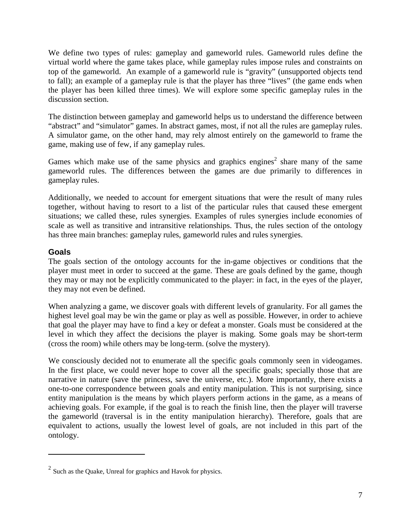We define two types of rules: gameplay and gameworld rules. Gameworld rules define the virtual world where the game takes place, while gameplay rules impose rules and constraints on top of the gameworld. An example of a gameworld rule is "gravity" (unsupported objects tend to fall); an example of a gameplay rule is that the player has three "lives" (the game ends when the player has been killed three times). We will explore some specific gameplay rules in the discussion section.

The distinction between gameplay and gameworld helps us to understand the difference between "abstract" and "simulator" games. In abstract games, most, if not all the rules are gameplay rules. A simulator game, on the other hand, may rely almost entirely on the gameworld to frame the game, making use of few, if any gameplay rules.

Games which make use of the same physics and graphics engines<sup>2</sup> share many of the same gameworld rules. The differences between the games are due primarily to differences in gameplay rules.

Additionally, we needed to account for emergent situations that were the result of many rules together, without having to resort to a list of the particular rules that caused these emergent situations; we called these, rules synergies. Examples of rules synergies include economies of scale as well as transitive and intransitive relationships. Thus, the rules section of the ontology has three main branches: gameplay rules, gameworld rules and rules synergies.

## **Goals**

 $\overline{a}$ 

The goals section of the ontology accounts for the in-game objectives or conditions that the player must meet in order to succeed at the game. These are goals defined by the game, though they may or may not be explicitly communicated to the player: in fact, in the eyes of the player, they may not even be defined.

When analyzing a game, we discover goals with different levels of granularity. For all games the highest level goal may be win the game or play as well as possible. However, in order to achieve that goal the player may have to find a key or defeat a monster. Goals must be considered at the level in which they affect the decisions the player is making. Some goals may be short-term (cross the room) while others may be long-term. (solve the mystery).

We consciously decided not to enumerate all the specific goals commonly seen in videogames. In the first place, we could never hope to cover all the specific goals; specially those that are narrative in nature (save the princess, save the universe, etc.). More importantly, there exists a one-to-one correspondence between goals and entity manipulation. This is not surprising, since entity manipulation is the means by which players perform actions in the game, as a means of achieving goals. For example, if the goal is to reach the finish line, then the player will traverse the gameworld (traversal is in the entity manipulation hierarchy). Therefore, goals that are equivalent to actions, usually the lowest level of goals, are not included in this part of the ontology.

 $2$  Such as the Quake, Unreal for graphics and Havok for physics.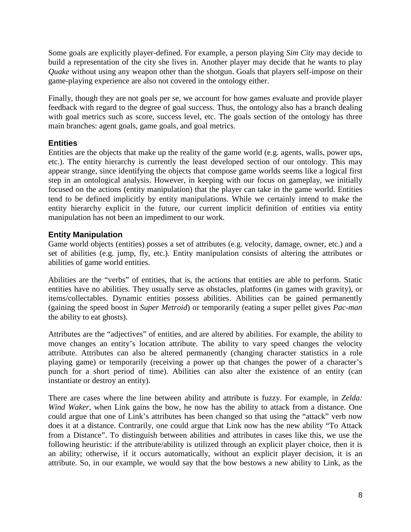Some goals are explicitly player-defined. For example, a person playing *Sim City* may decide to build a representation of the city she lives in. Another player may decide that he wants to play *Quake* without using any weapon other than the shotgun. Goals that players self-impose on their game-playing experience are also not covered in the ontology either.

Finally, though they are not goals per se, we account for how games evaluate and provide player feedback with regard to the degree of goal success. Thus, the ontology also has a branch dealing with goal metrics such as score, success level, etc. The goals section of the ontology has three main branches: agent goals, game goals, and goal metrics.

## **Entities**

Entities are the objects that make up the reality of the game world (e.g. agents, walls, power ups, etc.). The entity hierarchy is currently the least developed section of our ontology. This may appear strange, since identifying the objects that compose game worlds seems like a logical first step in an ontological analysis. However, in keeping with our focus on gameplay, we initially focused on the actions (entity manipulation) that the player can take in the game world. Entities tend to be defined implicitly by entity manipulations. While we certainly intend to make the entity hierarchy explicit in the future, our current implicit definition of entities via entity manipulation has not been an impediment to our work.

# **Entity Manipulation**

Game world objects (entities) posses a set of attributes (e.g. velocity, damage, owner, etc.) and a set of abilities (e.g. jump, fly, etc.). Entity manipulation consists of altering the attributes or abilities of game world entities.

Abilities are the "verbs" of entities, that is, the actions that entities are able to perform. Static entities have no abilities. They usually serve as obstacles, platforms (in games with gravity), or items/collectables. Dynamic entities possess abilities. Abilities can be gained permanently (gaining the speed boost in *Super Metroid*) or temporarily (eating a super pellet gives *Pac-man* the ability to eat ghosts).

Attributes are the "adjectives" of entities, and are altered by abilities. For example, the ability to move changes an entity's location attribute. The ability to vary speed changes the velocity attribute. Attributes can also be altered permanently (changing character statistics in a role playing game) or temporarily (receiving a power up that changes the power of a character's punch for a short period of time). Abilities can also alter the existence of an entity (can instantiate or destroy an entity).

There are cases where the line between ability and attribute is fuzzy. For example, in *Zelda: Wind Waker*, when Link gains the bow, he now has the ability to attack from a distance. One could argue that one of Link's attributes has been changed so that using the "attack" verb now does it at a distance. Contrarily, one could argue that Link now has the new ability "To Attack from a Distance". To distinguish between abilities and attributes in cases like this, we use the following heuristic: if the attribute/ability is utilized through an explicit player choice, then it is an ability; otherwise, if it occurs automatically, without an explicit player decision, it is an attribute. So, in our example, we would say that the bow bestows a new ability to Link, as the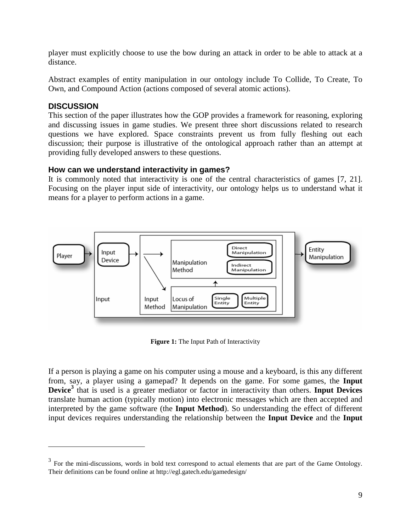player must explicitly choose to use the bow during an attack in order to be able to attack at a distance.

Abstract examples of entity manipulation in our ontology include To Collide, To Create, To Own, and Compound Action (actions composed of several atomic actions).

## **DISCUSSION**

 $\overline{a}$ 

This section of the paper illustrates how the GOP provides a framework for reasoning, exploring and discussing issues in game studies. We present three short discussions related to research questions we have explored. Space constraints prevent us from fully fleshing out each discussion; their purpose is illustrative of the ontological approach rather than an attempt at providing fully developed answers to these questions.

## **How can we understand interactivity in games?**

It is commonly noted that interactivity is one of the central characteristics of games [7, 21]. Focusing on the player input side of interactivity, our ontology helps us to understand what it means for a player to perform actions in a game.



**Figure 1:** The Input Path of Interactivity

If a person is playing a game on his computer using a mouse and a keyboard, is this any different from, say, a player using a gamepad? It depends on the game. For some games, the **Input Device<sup>3</sup>** that is used is a greater mediator or factor in interactivity than others. **Input Devices** translate human action (typically motion) into electronic messages which are then accepted and interpreted by the game software (the **Input Method**). So understanding the effect of different input devices requires understanding the relationship between the **Input Device** and the **Input** 

 $3$  For the mini-discussions, words in bold text correspond to actual elements that are part of the Game Ontology. Their definitions can be found online at http://egl.gatech.edu/gamedesign/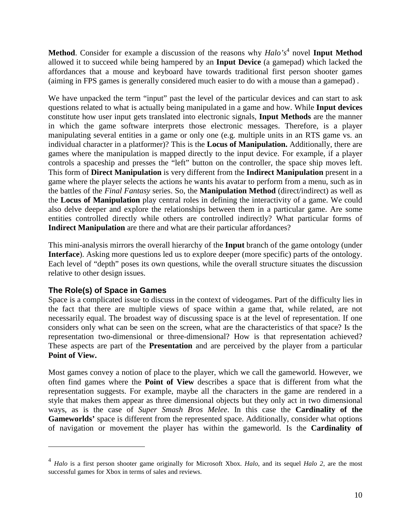**Method**. Consider for example a discussion of the reasons why *Halo's*<sup>4</sup> novel **Input Method** allowed it to succeed while being hampered by an **Input Device** (a gamepad) which lacked the affordances that a mouse and keyboard have towards traditional first person shooter games (aiming in FPS games is generally considered much easier to do with a mouse than a gamepad) .

We have unpacked the term "input" past the level of the particular devices and can start to ask questions related to what is actually being manipulated in a game and how. While **Input devices** constitute how user input gets translated into electronic signals, **Input Methods** are the manner in which the game software interprets those electronic messages. Therefore, is a player manipulating several entities in a game or only one (e.g. multiple units in an RTS game vs. an individual character in a platformer)? This is the **Locus of Manipulation.** Additionally, there are games where the manipulation is mapped directly to the input device. For example, if a player controls a spaceship and presses the "left" button on the controller, the space ship moves left. This form of **Direct Manipulation** is very different from the **Indirect Manipulation** present in a game where the player selects the actions he wants his avatar to perform from a menu, such as in the battles of the *Final Fantasy* series. So, the **Manipulation Method** (direct/indirect) as well as the **Locus of Manipulation** play central roles in defining the interactivity of a game. We could also delve deeper and explore the relationships between them in a particular game. Are some entities controlled directly while others are controlled indirectly? What particular forms of **Indirect Manipulation** are there and what are their particular affordances?

This mini-analysis mirrors the overall hierarchy of the **Input** branch of the game ontology (under **Interface**). Asking more questions led us to explore deeper (more specific) parts of the ontology. Each level of "depth" poses its own questions, while the overall structure situates the discussion relative to other design issues.

## **The Role(s) of Space in Games**

 $\overline{a}$ 

Space is a complicated issue to discuss in the context of videogames. Part of the difficulty lies in the fact that there are multiple views of space within a game that, while related, are not necessarily equal. The broadest way of discussing space is at the level of representation. If one considers only what can be seen on the screen, what are the characteristics of that space? Is the representation two-dimensional or three-dimensional? How is that representation achieved? These aspects are part of the **Presentation** and are perceived by the player from a particular **Point of View.** 

Most games convey a notion of place to the player, which we call the gameworld. However, we often find games where the **Point of View** describes a space that is different from what the representation suggests. For example, maybe all the characters in the game are rendered in a style that makes them appear as three dimensional objects but they only act in two dimensional ways, as is the case of *Super Smash Bros Melee*. In this case the **Cardinality of the**  Gameworlds' space is different from the represented space. Additionally, consider what options of navigation or movement the player has within the gameworld. Is the **Cardinality of** 

<sup>4</sup> *Halo* is a first person shooter game originally for Microsoft Xbox. *Halo*, and its sequel *Halo 2*, are the most successful games for Xbox in terms of sales and reviews.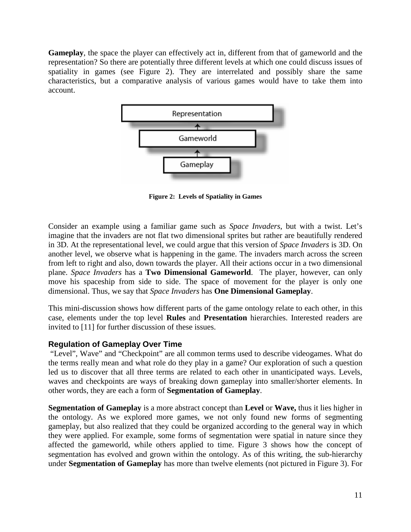**Gameplay**, the space the player can effectively act in, different from that of gameworld and the representation? So there are potentially three different levels at which one could discuss issues of spatiality in games (see Figure 2). They are interrelated and possibly share the same characteristics, but a comparative analysis of various games would have to take them into account.



**Figure 2: Levels of Spatiality in Games** 

Consider an example using a familiar game such as *Space Invaders*, but with a twist. Let's imagine that the invaders are not flat two dimensional sprites but rather are beautifully rendered in 3D. At the representational level, we could argue that this version of *Space Invaders* is 3D. On another level, we observe what is happening in the game. The invaders march across the screen from left to right and also, down towards the player. All their actions occur in a two dimensional plane. *Space Invaders* has a **Two Dimensional Gameworld**. The player, however, can only move his spaceship from side to side. The space of movement for the player is only one dimensional. Thus, we say that *Space Invaders* has **One Dimensional Gameplay**.

This mini-discussion shows how different parts of the game ontology relate to each other, in this case, elements under the top level **Rules** and **Presentation** hierarchies. Interested readers are invited to [11] for further discussion of these issues.

## **Regulation of Gameplay Over Time**

 "Level", Wave" and "Checkpoint" are all common terms used to describe videogames. What do the terms really mean and what role do they play in a game? Our exploration of such a question led us to discover that all three terms are related to each other in unanticipated ways. Levels, waves and checkpoints are ways of breaking down gameplay into smaller/shorter elements. In other words, they are each a form of **Segmentation of Gameplay**.

**Segmentation of Gameplay** is a more abstract concept than **Level** or **Wave,** thus it lies higher in the ontology. As we explored more games, we not only found new forms of segmenting gameplay, but also realized that they could be organized according to the general way in which they were applied. For example, some forms of segmentation were spatial in nature since they affected the gameworld, while others applied to time. Figure 3 shows how the concept of segmentation has evolved and grown within the ontology. As of this writing, the sub-hierarchy under **Segmentation of Gameplay** has more than twelve elements (not pictured in Figure 3). For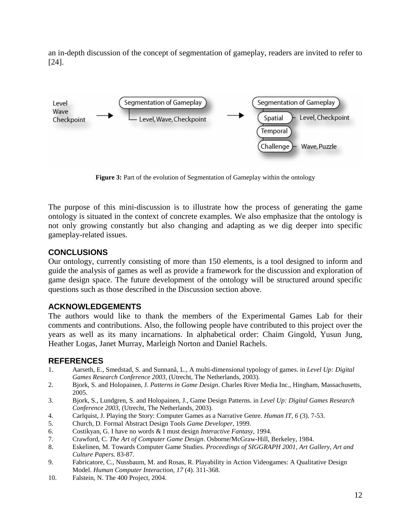an in-depth discussion of the concept of segmentation of gameplay, readers are invited to refer to [24].



**Figure 3:** Part of the evolution of Segmentation of Gameplay within the ontology

The purpose of this mini-discussion is to illustrate how the process of generating the game ontology is situated in the context of concrete examples. We also emphasize that the ontology is not only growing constantly but also changing and adapting as we dig deeper into specific gameplay-related issues.

# **CONCLUSIONS**

Our ontology, currently consisting of more than 150 elements, is a tool designed to inform and guide the analysis of games as well as provide a framework for the discussion and exploration of game design space. The future development of the ontology will be structured around specific questions such as those described in the Discussion section above.

# **ACKNOWLEDGEMENTS**

The authors would like to thank the members of the Experimental Games Lab for their comments and contributions. Also, the following people have contributed to this project over the years as well as its many incarnations. In alphabetical order: Chaim Gingold, Yusun Jung, Heather Logas, Janet Murray, Marleigh Norton and Daniel Rachels.

# **REFERENCES**

- 1. Aarseth, E., Smedstad, S. and Sunnanå, L., A multi-dimensional typology of games. in *Level Up: Digital Games Research Conference 2003*, (Utrecht, The Netherlands, 2003).
- 2. Bjork, S. and Holopainen, J. *Patterns in Game Design*. Charles River Media Inc., Hingham, Massachusetts, 2005.
- 3. Bjork, S., Lundgren, S. and Holopainen, J., Game Design Patterns. in *Level Up: Digital Games Research Conference 2003*, (Utrecht, The Netherlands, 2003).
- 4. Carlquist, J. Playing the Story: Computer Games as a Narrative Genre. *Human IT*, *6* (3). 7-53.
- 5. Church, D. Formal Abstract Design Tools *Game Developer*, 1999.
- 6. Costikyan, G. I have no words & I must design *Interactive Fantasy*, 1994.
- 7. Crawford, C. *The Art of Computer Game Design*. Osborne/McGraw-Hill, Berkeley, 1984.
- 8. Eskelinen, M. Towards Computer Game Studies. *Proceedings of SIGGRAPH 2001, Art Gallery, Art and Culture Papers*. 83-87.
- 9. Fabricatore, C., Nussbaum, M. and Rosas, R. Playability in Action Videogames: A Qualitative Design Model. *Human Computer Interaction*, *17* (4). 311-368.
- 10. Falstein, N. The 400 Project, 2004.